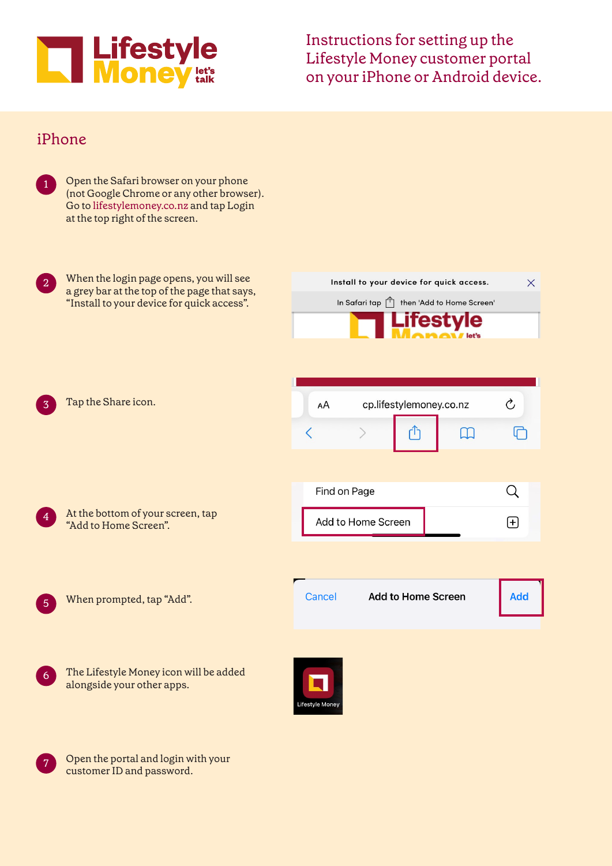

Instructions for setting up the Lifestyle Money customer portal on your iPhone or Android device.

## iPhone